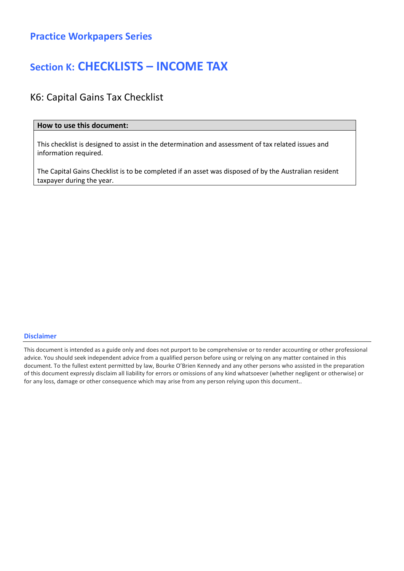### Section K: CHECKLISTS – INCOME TAX

### K6: Capital Gains Tax Checklist

#### How to use this document:

This checklist is designed to assist in the determination and assessment of tax related issues and information required.

The Capital Gains Checklist is to be completed if an asset was disposed of by the Australian resident taxpayer during the year.

#### Disclaimer

This document is intended as a guide only and does not purport to be comprehensive or to render accounting or other professional advice. You should seek independent advice from a qualified person before using or relying on any matter contained in this document. To the fullest extent permitted by law, Bourke O'Brien Kennedy and any other persons who assisted in the preparation of this document expressly disclaim all liability for errors or omissions of any kind whatsoever (whether negligent or otherwise) or for any loss, damage or other consequence which may arise from any person relying upon this document..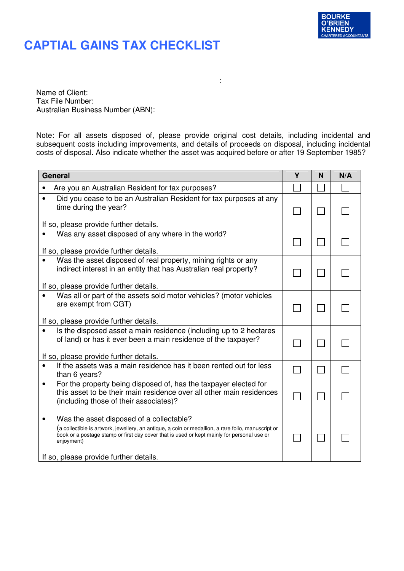

### **CAPTIAL GAINS TAX CHECKLIST**

Name of Client: Tax File Number: Australian Business Number (ABN):

Note: For all assets disposed of, please provide original cost details, including incidental and subsequent costs including improvements, and details of proceeds on disposal, including incidental costs of disposal. Also indicate whether the asset was acquired before or after 19 September 1985?

:

| <b>General</b>                                                                                                                                                                                                                                                                                       | Υ | N | N/A |
|------------------------------------------------------------------------------------------------------------------------------------------------------------------------------------------------------------------------------------------------------------------------------------------------------|---|---|-----|
| Are you an Australian Resident for tax purposes?                                                                                                                                                                                                                                                     |   |   |     |
| Did you cease to be an Australian Resident for tax purposes at any<br>time during the year?<br>If so, please provide further details.                                                                                                                                                                |   |   |     |
| Was any asset disposed of any where in the world?<br>If so, please provide further details.                                                                                                                                                                                                          |   |   |     |
| Was the asset disposed of real property, mining rights or any<br>indirect interest in an entity that has Australian real property?<br>If so, please provide further details.                                                                                                                         |   |   |     |
| Was all or part of the assets sold motor vehicles? (motor vehicles<br>are exempt from CGT)<br>If so, please provide further details.                                                                                                                                                                 |   |   |     |
| Is the disposed asset a main residence (including up to 2 hectares<br>of land) or has it ever been a main residence of the taxpayer?<br>If so, please provide further details.                                                                                                                       |   |   |     |
| If the assets was a main residence has it been rented out for less<br>than 6 years?                                                                                                                                                                                                                  |   |   |     |
| For the property being disposed of, has the taxpayer elected for<br>this asset to be their main residence over all other main residences<br>(including those of their associates)?                                                                                                                   |   |   |     |
| Was the asset disposed of a collectable?<br>(a collectible is artwork, jewellery, an antique, a coin or medallion, a rare folio, manuscript or<br>book or a postage stamp or first day cover that is used or kept mainly for personal use or<br>enjoyment)<br>If so, please provide further details. |   |   |     |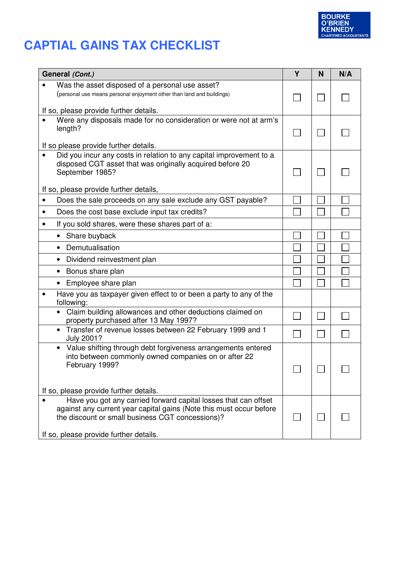

# **CAPTIAL GAINS TAX CHECKLIST**

| General (Cont.)                                                                                                                                                                                                                      | Y | N | N/A |
|--------------------------------------------------------------------------------------------------------------------------------------------------------------------------------------------------------------------------------------|---|---|-----|
| Was the asset disposed of a personal use asset?<br>(personal use means personal enjoyment other than land and buildings)                                                                                                             |   |   |     |
| If so, please provide further details.                                                                                                                                                                                               |   |   |     |
| Were any disposals made for no consideration or were not at arm's<br>length?<br>If so please provide further details.                                                                                                                |   |   |     |
| Did you incur any costs in relation to any capital improvement to a<br>disposed CGT asset that was originally acquired before 20<br>September 1985?                                                                                  |   |   |     |
| If so, please provide further details,                                                                                                                                                                                               |   |   |     |
| Does the sale proceeds on any sale exclude any GST payable?<br>$\bullet$                                                                                                                                                             |   |   |     |
| Does the cost base exclude input tax credits?<br>$\bullet$                                                                                                                                                                           |   |   |     |
| If you sold shares, were these shares part of a:<br>$\bullet$                                                                                                                                                                        |   |   |     |
| Share buyback<br>$\bullet$                                                                                                                                                                                                           |   |   |     |
| Demutualisation<br>$\bullet$                                                                                                                                                                                                         |   |   |     |
| Dividend reinvestment plan<br>$\bullet$                                                                                                                                                                                              |   |   |     |
| Bonus share plan<br>$\bullet$                                                                                                                                                                                                        |   |   |     |
| Employee share plan                                                                                                                                                                                                                  |   |   |     |
| Have you as taxpayer given effect to or been a party to any of the<br>following:                                                                                                                                                     |   |   |     |
| Claim building allowances and other deductions claimed on<br>property purchased after 13 May 1997?                                                                                                                                   |   |   |     |
| • Transfer of revenue losses between 22 February 1999 and 1<br>July 2001?                                                                                                                                                            |   |   |     |
| Value shifting through debt forgiveness arrangements entered<br>$\bullet$<br>into between commonly owned companies on or after 22<br>February 1999?                                                                                  |   |   |     |
| If so, please provide further details.                                                                                                                                                                                               |   |   |     |
| Have you got any carried forward capital losses that can offset<br>against any current year capital gains (Note this must occur before<br>the discount or small business CGT concessions)?<br>If so, please provide further details. |   |   |     |